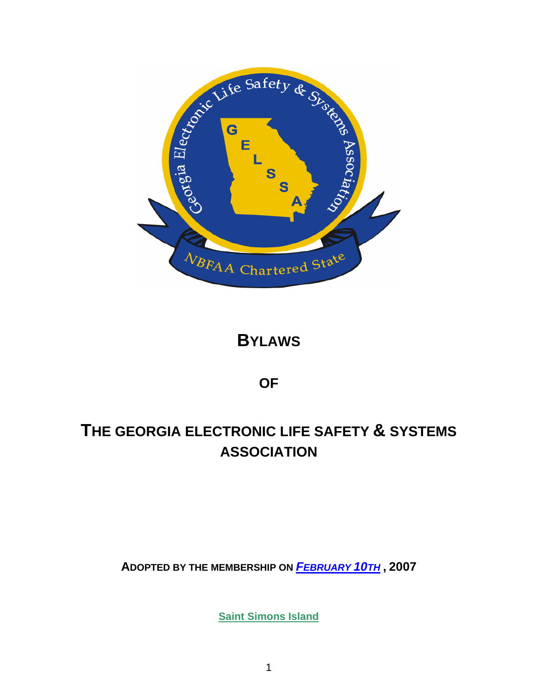

# **BYLAWS**

**OF** 

# **THE GEORGIA ELECTRONIC LIFE SAFETY & SYSTEMS ASSOCIATION**

**ADOPTED BY THE MEMBERSHIP ON** *FEBRUARY 10TH* **, 2007** 

**Saint Simons Island**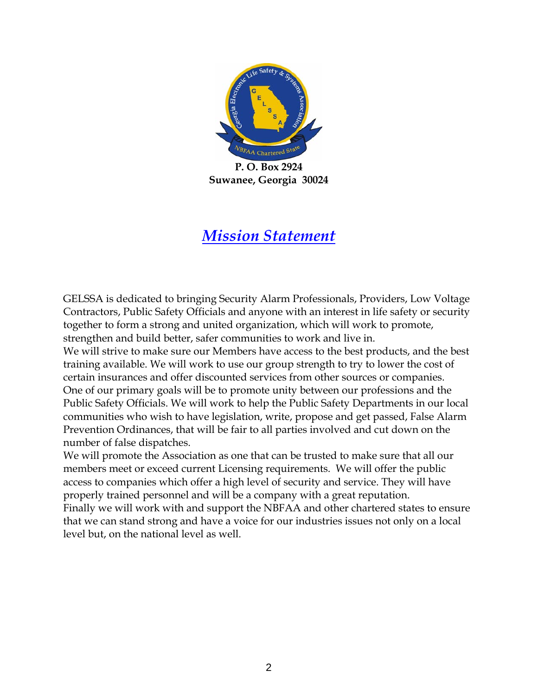

**P. O. Box 2924 Suwanee, Georgia 30024** 

# *Mission Statement*

GELSSA is dedicated to bringing Security Alarm Professionals, Providers, Low Voltage Contractors, Public Safety Officials and anyone with an interest in life safety or security together to form a strong and united organization, which will work to promote, strengthen and build better, safer communities to work and live in.

We will strive to make sure our Members have access to the best products, and the best training available. We will work to use our group strength to try to lower the cost of certain insurances and offer discounted services from other sources or companies. One of our primary goals will be to promote unity between our professions and the Public Safety Officials. We will work to help the Public Safety Departments in our local communities who wish to have legislation, write, propose and get passed, False Alarm Prevention Ordinances, that will be fair to all parties involved and cut down on the number of false dispatches.

We will promote the Association as one that can be trusted to make sure that all our members meet or exceed current Licensing requirements. We will offer the public access to companies which offer a high level of security and service. They will have properly trained personnel and will be a company with a great reputation. Finally we will work with and support the NBFAA and other chartered states to ensure that we can stand strong and have a voice for our industries issues not only on a local level but, on the national level as well.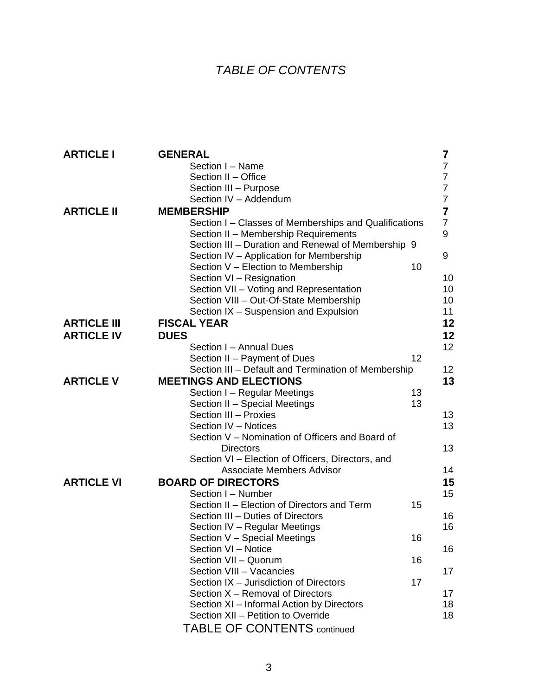# *T ABLE OF CONTENTS*

| <b>ARTICLE I</b>   | <b>GENERAL</b>                                        | $\overline{7}$   |
|--------------------|-------------------------------------------------------|------------------|
|                    | Section I - Name                                      | $\overline{7}$   |
|                    | Section II - Office                                   | 7                |
|                    | Section III - Purpose                                 | 7                |
|                    | Section IV - Addendum                                 | $\overline{7}$   |
| <b>ARTICLE II</b>  | <b>MEMBERSHIP</b>                                     | 7                |
|                    | Section I – Classes of Memberships and Qualifications | $\overline{7}$   |
|                    | Section II - Membership Requirements                  | $\boldsymbol{9}$ |
|                    | Section III - Duration and Renewal of Membership 9    |                  |
|                    | Section IV - Application for Membership               | 9                |
|                    | Section V - Election to Membership                    | 10               |
|                    | Section VI - Resignation                              | 10               |
|                    | Section VII - Voting and Representation               | 10               |
|                    | Section VIII - Out-Of-State Membership                | 10               |
|                    | Section IX - Suspension and Expulsion                 | 11               |
| <b>ARTICLE III</b> | <b>FISCAL YEAR</b>                                    | 12               |
| <b>ARTICLE IV</b>  | <b>DUES</b>                                           | 12               |
|                    | Section I - Annual Dues                               | 12               |
|                    | Section II - Payment of Dues                          | 12               |
|                    | Section III - Default and Termination of Membership   | 12 <sub>2</sub>  |
| <b>ARTICLE V</b>   | <b>MEETINGS AND ELECTIONS</b>                         | 13               |
|                    | Section I - Regular Meetings                          | 13               |
|                    | Section II - Special Meetings                         | 13               |
|                    | Section III - Proxies                                 | 13               |
|                    | Section IV - Notices                                  | 13               |
|                    | Section V - Nomination of Officers and Board of       |                  |
|                    | <b>Directors</b>                                      | 13               |
|                    | Section VI - Election of Officers, Directors, and     |                  |
|                    | <b>Associate Members Advisor</b>                      | 14               |
| <b>ARTICLE VI</b>  | <b>BOARD OF DIRECTORS</b>                             | 15               |
|                    | Section I - Number                                    | 15               |
|                    | Section II - Election of Directors and Term           | 15               |
|                    | Section III - Duties of Directors                     | 16               |
|                    | Section IV - Regular Meetings                         | 16               |
|                    | Section V - Special Meetings                          | 16               |
|                    | Section VI - Notice                                   | 16               |
|                    | Section VII - Quorum                                  | 16               |
|                    | Section VIII - Vacancies                              | 17               |
|                    | Section IX - Jurisdiction of Directors                | 17               |
|                    | Section X - Removal of Directors                      | 17               |
|                    | Section XI - Informal Action by Directors             | 18               |
|                    | Section XII - Petition to Override                    | 18               |
|                    | <b>TABLE OF CONTENTS continued</b>                    |                  |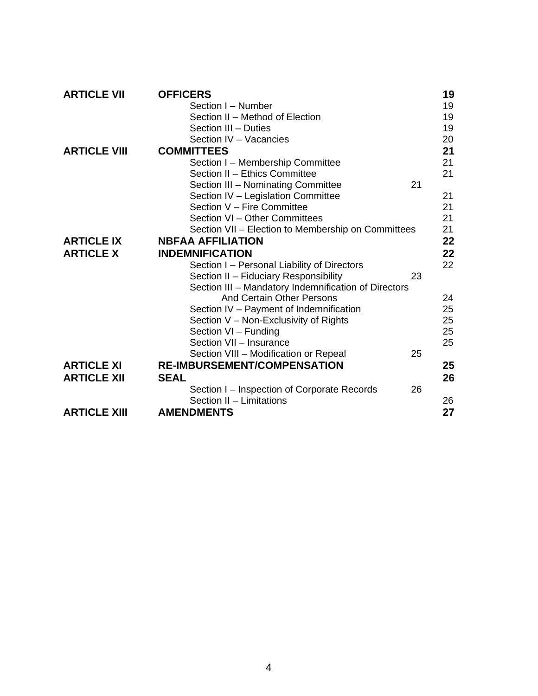| <b>ARTICLE VII</b>  | <b>OFFICERS</b>                                      | 19 |
|---------------------|------------------------------------------------------|----|
|                     | Section I - Number                                   | 19 |
|                     | Section II - Method of Election                      | 19 |
|                     | Section III - Duties                                 | 19 |
|                     | Section IV - Vacancies                               | 20 |
| <b>ARTICLE VIII</b> | <b>COMMITTEES</b>                                    | 21 |
|                     | Section I - Membership Committee                     | 21 |
|                     | Section II - Ethics Committee                        | 21 |
|                     | Section III - Nominating Committee                   | 21 |
|                     | Section IV - Legislation Committee                   | 21 |
|                     | Section V - Fire Committee                           | 21 |
|                     | Section VI - Other Committees                        | 21 |
|                     | Section VII - Election to Membership on Committees   | 21 |
| <b>ARTICLE IX</b>   | <b>NBFAA AFFILIATION</b>                             | 22 |
| <b>ARTICLE X</b>    | <b>INDEMNIFICATION</b>                               | 22 |
|                     | Section I - Personal Liability of Directors          | 22 |
|                     | Section II - Fiduciary Responsibility                | 23 |
|                     | Section III - Mandatory Indemnification of Directors |    |
|                     | <b>And Certain Other Persons</b>                     | 24 |
|                     | Section IV - Payment of Indemnification              | 25 |
|                     | Section V - Non-Exclusivity of Rights                | 25 |
|                     | Section VI - Funding                                 | 25 |
|                     | Section VII - Insurance                              | 25 |
|                     | Section VIII - Modification or Repeal                | 25 |
| <b>ARTICLE XI</b>   | <b>RE-IMBURSEMENT/COMPENSATION</b>                   | 25 |
| <b>ARTICLE XII</b>  | <b>SEAL</b>                                          | 26 |
|                     | Section I – Inspection of Corporate Records          | 26 |
|                     | Section II - Limitations                             | 26 |
| <b>ARTICLE XIII</b> | <b>AMENDMENTS</b>                                    | 27 |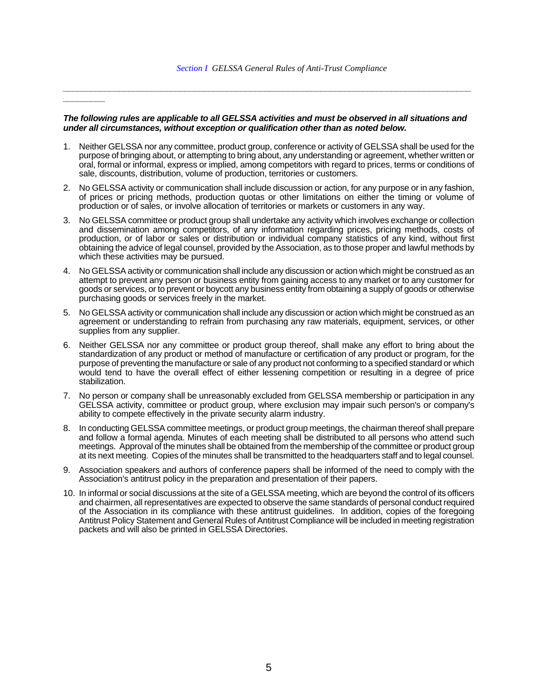#### *The following rules are applicable to all GELSSA activities and must be observed in all situations and under all circumstances, without exception or qualification other than as noted below.*

*\_\_\_\_\_\_\_\_\_\_\_\_\_\_\_\_\_\_\_\_\_\_\_\_\_\_\_\_\_\_\_\_\_\_\_\_\_\_\_\_\_\_\_\_\_\_\_\_\_\_\_\_\_\_\_\_\_\_\_\_\_\_\_\_\_\_\_\_\_\_\_\_\_\_\_\_\_\_\_\_\_\_\_\_\_\_\_*

*\_\_\_\_\_\_\_\_\_* 

- 1. Neither GELSSA nor any committee, product group, conference or activity of GELSSA shall be used for the purpose of bringing about, or attempting to bring about, any understanding or agreement, whether written or oral, formal or informal, express or implied, among competitors with regard to prices, terms or conditions of sale, discounts, distribution, volume of production, territories or customers.
- 2. No GELSSA activity or communication shall include discussion or action, for any purpose or in any fashion, of prices or pricing methods, production quotas or other limitations on either the timing or volume of production or of sales, or involve allocation of territories or markets or customers in any way.
- 3. No GELSSA committee or product group shall undertake any activity which involves exchange or collection and dissemination among competitors, of any information regarding prices, pricing methods, costs of production, or of labor or sales or distribution or individual company statistics of any kind, without first obtaining the advice of legal counsel, provided by the Association, as to those proper and lawful methods by which these activities may be pursued.
- 4. No GELSSA activity or communication shall include any discussion or action which might be construed as an attempt to prevent any person or business entity from gaining access to any market or to any customer for goods or services, or to prevent or boycott any business entity from obtaining a supply of goods or otherwise purchasing goods or services freely in the market.
- 5. No GELSSA activity or communication shall include any discussion or action which might be construed as an agreement or understanding to refrain from purchasing any raw materials, equipment, services, or other supplies from any supplier.
- 6. Neither GELSSA nor any committee or product group thereof, shall make any effort to bring about the standardization of any product or method of manufacture or certification of any product or program, for the purpose of preventing the manufacture or sale of any product not conforming to a specified standard or which would tend to have the overall effect of either lessening competition or resulting in a degree of price stabilization.
- 7. No person or company shall be unreasonably excluded from GELSSA membership or participation in any GELSSA activity, committee or product group, where exclusion may impair such person's or company's ability to compete effectively in the private security alarm industry.
- 8. In conducting GELSSA committee meetings, or product group meetings, the chairman thereof shall prepare and follow a formal agenda. Minutes of each meeting shall be distributed to all persons who attend such meetings. Approval of the minutes shall be obtained from the membership of the committee or product group at its next meeting. Copies of the minutes shall be transmitted to the headquarters staff and to legal counsel.
- 9. Association speakers and authors of conference papers shall be informed of the need to comply with the Association's antitrust policy in the preparation and presentation of their papers.
- 10. In informal or social discussions at the site of a GELSSA meeting, which are beyond the control of its officers and chairmen, all representatives are expected to observe the same standards of personal conduct required of the Association in its compliance with these antitrust guidelines. In addition, copies of the foregoing Antitrust Policy Statement and General Rules of Antitrust Compliance will be included in meeting registration packets and will also be printed in GELSSA Directories.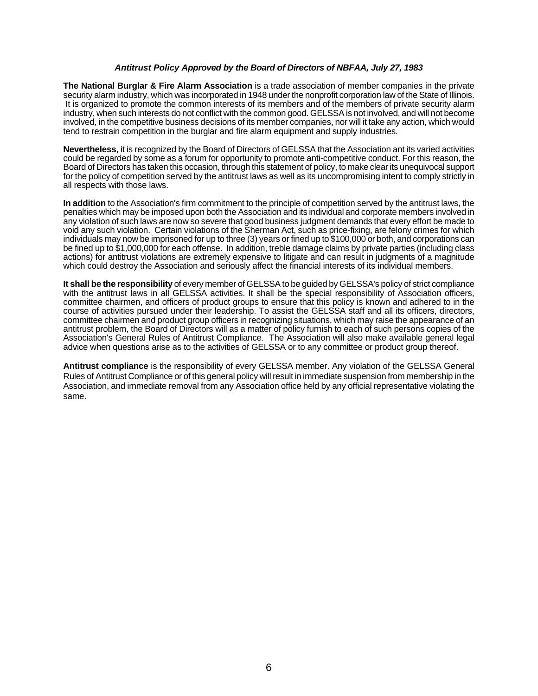#### *Antitrust Policy Approved by the Board of Directors of NBFAA, July 27, 1983*

**The National Burglar & Fire Alarm Association** is a trade association of member companies in the private security alarm industry, which was incorporated in 1948 under the nonprofit corporation law of the State of Illinois. It is organized to promote the common interests of its members and of the members of private security alarm industry, when such interests do not conflict with the common good. GELSSA is not involved, and will not become involved, in the competitive business decisions of its member companies, nor will it take any action, which would tend to restrain competition in the burglar and fire alarm equipment and supply industries.

**Nevertheless**, it is recognized by the Board of Directors of GELSSA that the Association ant its varied activities could be regarded by some as a forum for opportunity to promote anti-competitive conduct. For this reason, the Board of Directors has taken this occasion, through this statement of policy, to make clear its unequivocal support for the policy of competition served by the antitrust laws as well as its uncompromising intent to comply strictly in all respects with those laws.

**In addition** to the Association's firm commitment to the principle of competition served by the antitrust laws, the penalties which may be imposed upon both the Association and its individual and corporate members involved in any violation of such laws are now so severe that good business judgment demands that every effort be made to void any such violation. Certain violations of the Sherman Act, such as price-fixing, are felony crimes for which individuals may now be imprisoned for up to three (3) years or fined up to \$100,000 or both, and corporations can be fined up to \$1,000,000 for each offense. In addition, treble damage claims by private parties (including class actions) for antitrust violations are extremely expensive to litigate and can result in judgments of a magnitude which could destroy the Association and seriously affect the financial interests of its individual members.

**It shall be the responsibility** of every member of GELSSA to be guided by GELSSA's policy of strict compliance with the antitrust laws in all GELSSA activities. It shall be the special responsibility of Association officers, committee chairmen, and officers of product groups to ensure that this policy is known and adhered to in the course of activities pursued under their leadership. To assist the GELSSA staff and all its officers, directors, committee chairmen and product group officers in recognizing situations, which may raise the appearance of an antitrust problem, the Board of Directors will as a matter of policy furnish to each of such persons copies of the Association's General Rules of Antitrust Compliance. The Association will also make available general legal advice when questions arise as to the activities of GELSSA or to any committee or product group thereof.

**Antitrust compliance** is the responsibility of every GELSSA member. Any violation of the GELSSA General Rules of Antitrust Compliance or of this general policy will result in immediate suspension from membership in the Association, and immediate removal from any Association office held by any official representative violating the same.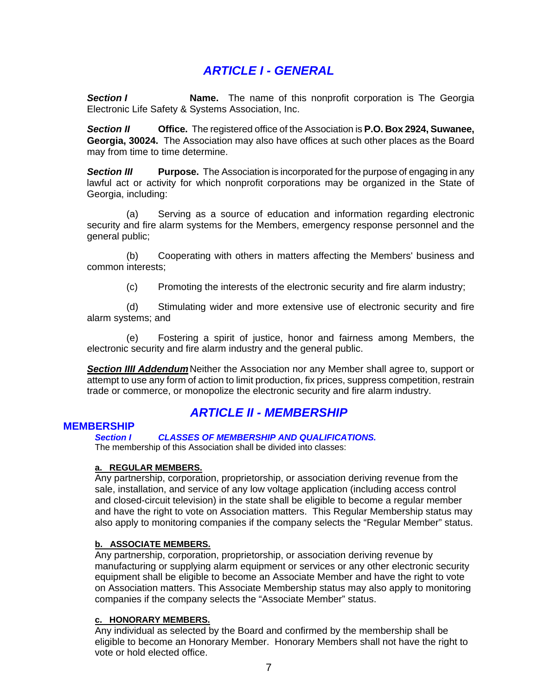# *ARTICLE I - GENERAL*

**Section I Name.** The name of this nonprofit corporation is The Georgia Electronic Life Safety & Systems Association, Inc.

*Section II* **Office.** The registered office of the Association is **P.O. Box 2924, Suwanee, Georgia, 30024.** The Association may also have offices at such other places as the Board may from time to time determine.

**Section III** Purpose. The Association is incorporated for the purpose of engaging in any lawful act or activity for which nonprofit corporations may be organized in the State of Georgia, including:

 (a) Serving as a source of education and information regarding electronic security and fire alarm systems for the Members, emergency response personnel and the general public;

 (b) Cooperating with others in matters affecting the Members' business and common interests;

(c) Promoting the interests of the electronic security and fire alarm industry;

 (d) Stimulating wider and more extensive use of electronic security and fire alarm systems; and

 (e) Fostering a spirit of justice, honor and fairness among Members, the electronic security and fire alarm industry and the general public.

**Section IIII Addendum** Neither the Association nor any Member shall agree to, support or attempt to use any form of action to limit production, fix prices, suppress competition, restrain trade or commerce, or monopolize the electronic security and fire alarm industry.

# *ARTICLE II - MEMBERSHIP*

### **MEMBERSHIP**

*Section I CLASSES OF MEMBERSHIP AND QUALIFICATIONS.* 

The membership of this Association shall be divided into classes:

#### **a. REGULAR MEMBERS.**

Any partnership, corporation, proprietorship, or association deriving revenue from the sale, installation, and service of any low voltage application (including access control and closed-circuit television) in the state shall be eligible to become a regular member and have the right to vote on Association matters. This Regular Membership status may also apply to monitoring companies if the company selects the "Regular Member" status.

#### **b. ASSOCIATE MEMBERS.**

Any partnership, corporation, proprietorship, or association deriving revenue by manufacturing or supplying alarm equipment or services or any other electronic security equipment shall be eligible to become an Associate Member and have the right to vote on Association matters. This Associate Membership status may also apply to monitoring companies if the company selects the "Associate Member" status.

#### **c. HONORARY MEMBERS.**

Any individual as selected by the Board and confirmed by the membership shall be eligible to become an Honorary Member. Honorary Members shall not have the right to vote or hold elected office.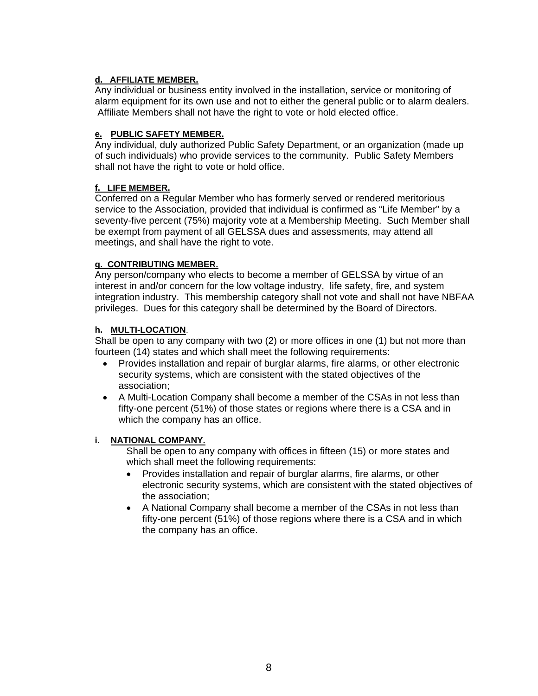# **d. AFFILIATE MEMBER.**

Any individual or business entity involved in the installation, service or monitoring of alarm equipment for its own use and not to either the general public or to alarm dealers. Affiliate Members shall not have the right to vote or hold elected office.

### **e. PUBLIC SAFETY MEMBER.**

Any individual, duly authorized Public Safety Department, or an organization (made up of such individuals) who provide services to the community. Public Safety Members shall not have the right to vote or hold office.

### **f. LIFE MEMBER.**

Conferred on a Regular Member who has formerly served or rendered meritorious service to the Association, provided that individual is confirmed as "Life Member" by a seventy-five percent (75%) majority vote at a Membership Meeting. Such Member shall be exempt from payment of all GELSSA dues and assessments, may attend all meetings, and shall have the right to vote.

### **g. CONTRIBUTING MEMBER.**

Any person/company who elects to become a member of GELSSA by virtue of an interest in and/or concern for the low voltage industry, life safety, fire, and system integration industry. This membership category shall not vote and shall not have NBFAA privileges. Dues for this category shall be determined by the Board of Directors.

### **h. MULTI-LOCATION**.

Shall be open to any company with two (2) or more offices in one (1) but not more than fourteen (14) states and which shall meet the following requirements:

- Provides installation and repair of burglar alarms, fire alarms, or other electronic security systems, which are consistent with the stated objectives of the association;
- A Multi-Location Company shall become a member of the CSAs in not less than fifty-one percent (51%) of those states or regions where there is a CSA and in which the company has an office.

### **i. NATIONAL COMPANY.**

Shall be open to any company with offices in fifteen (15) or more states and which shall meet the following requirements:

- Provides installation and repair of burglar alarms, fire alarms, or other electronic security systems, which are consistent with the stated objectives of the association;
- A National Company shall become a member of the CSAs in not less than fifty-one percent (51%) of those regions where there is a CSA and in which the company has an office.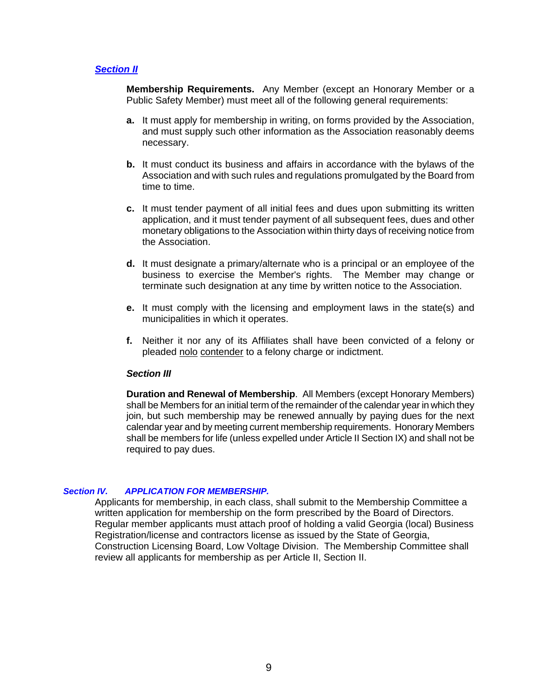#### *Section II*

**Membership Requirements.** Any Member (except an Honorary Member or a Public Safety Member) must meet all of the following general requirements:

- **a.** It must apply for membership in writing, on forms provided by the Association, and must supply such other information as the Association reasonably deems necessary.
- **b.** It must conduct its business and affairs in accordance with the bylaws of the Association and with such rules and regulations promulgated by the Board from time to time.
- **c.** It must tender payment of all initial fees and dues upon submitting its written application, and it must tender payment of all subsequent fees, dues and other monetary obligations to the Association within thirty days of receiving notice from the Association.
- **d.** It must designate a primary/alternate who is a principal or an employee of the business to exercise the Member's rights. The Member may change or terminate such designation at any time by written notice to the Association.
- **e.** It must comply with the licensing and employment laws in the state(s) and municipalities in which it operates.
- **f.** Neither it nor any of its Affiliates shall have been convicted of a felony or pleaded nolo contender to a felony charge or indictment.

#### *Section III*

**Duration and Renewal of Membership**. All Members (except Honorary Members) shall be Members for an initial term of the remainder of the calendar year in which they join, but such membership may be renewed annually by paying dues for the next calendar year and by meeting current membership requirements. Honorary Members shall be members for life (unless expelled under Article II Section IX) and shall not be required to pay dues.

#### *Section IV. APPLICATION FOR MEMBERSHIP.*

Applicants for membership, in each class, shall submit to the Membership Committee a written application for membership on the form prescribed by the Board of Directors. Regular member applicants must attach proof of holding a valid Georgia (local) Business Registration/license and contractors license as issued by the State of Georgia, Construction Licensing Board, Low Voltage Division. The Membership Committee shall review all applicants for membership as per Article II, Section II.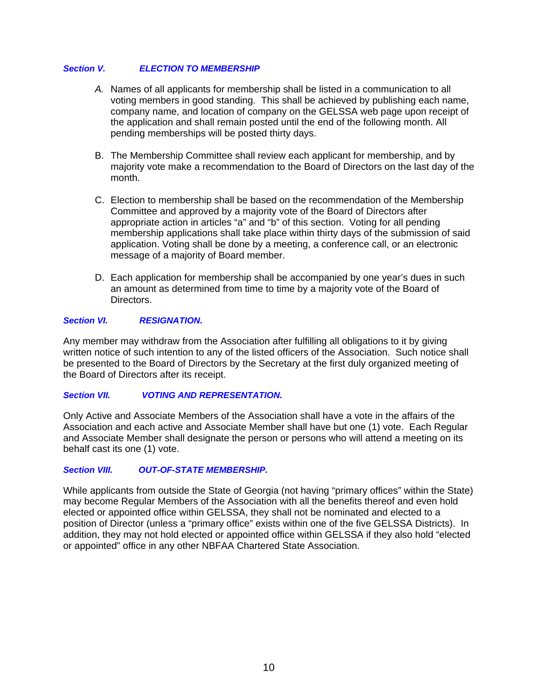#### *Section V. ELECTION TO MEMBERSHIP*

- *A.* Names of all applicants for membership shall be listed in a communication to all voting members in good standing. This shall be achieved by publishing each name, company name, and location of company on the GELSSA web page upon receipt of the application and shall remain posted until the end of the following month. All pending memberships will be posted thirty days.
- B. The Membership Committee shall review each applicant for membership, and by majority vote make a recommendation to the Board of Directors on the last day of the month.
- C. Election to membership shall be based on the recommendation of the Membership Committee and approved by a majority vote of the Board of Directors after appropriate action in articles "a" and "b" of this section. Voting for all pending membership applications shall take place within thirty days of the submission of said application. Voting shall be done by a meeting, a conference call, or an electronic message of a majority of Board member.
- D. Each application for membership shall be accompanied by one year's dues in such an amount as determined from time to time by a majority vote of the Board of Directors.

### *Section VI. RESIGNATION.*

Any member may withdraw from the Association after fulfilling all obligations to it by giving written notice of such intention to any of the listed officers of the Association. Such notice shall be presented to the Board of Directors by the Secretary at the first duly organized meeting of the Board of Directors after its receipt.

#### *Section VII. VOTING AND REPRESENTATION.*

Only Active and Associate Members of the Association shall have a vote in the affairs of the Association and each active and Associate Member shall have but one (1) vote. Each Regular and Associate Member shall designate the person or persons who will attend a meeting on its behalf cast its one (1) vote.

### *Section VIII. OUT-OF-STATE MEMBERSHIP.*

While applicants from outside the State of Georgia (not having "primary offices" within the State) may become Regular Members of the Association with all the benefits thereof and even hold elected or appointed office within GELSSA, they shall not be nominated and elected to a position of Director (unless a "primary office" exists within one of the five GELSSA Districts). In addition, they may not hold elected or appointed office within GELSSA if they also hold "elected or appointed" office in any other NBFAA Chartered State Association.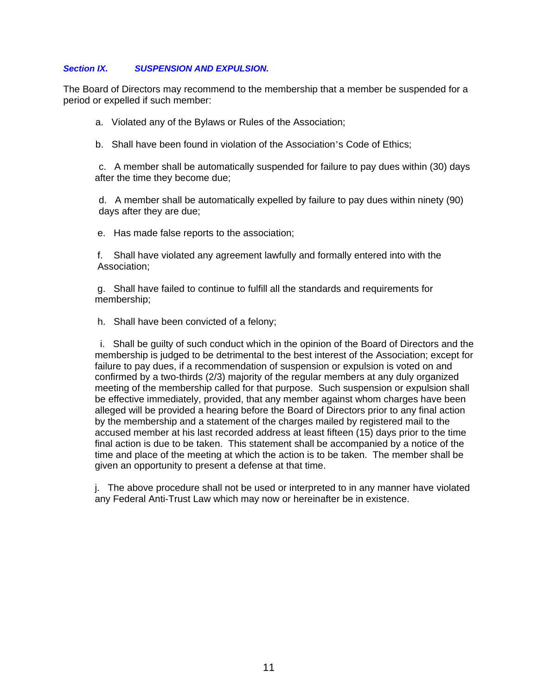#### *Section IX. SUSPENSION AND EXPULSION.*

The Board of Directors may recommend to the membership that a member be suspended for a period or expelled if such member:

a. Violated any of the Bylaws or Rules of the Association;

b. Shall have been found in violation of the Association's Code of Ethics;

c. A member shall be automatically suspended for failure to pay dues within (30) days after the time they become due;

d. A member shall be automatically expelled by failure to pay dues within ninety (90) days after they are due;

e. Has made false reports to the association;

 f. Shall have violated any agreement lawfully and formally entered into with the Association;

g. Shall have failed to continue to fulfill all the standards and requirements for membership;

h. Shall have been convicted of a felony;

i. Shall be guilty of such conduct which in the opinion of the Board of Directors and the membership is judged to be detrimental to the best interest of the Association; except for failure to pay dues, if a recommendation of suspension or expulsion is voted on and confirmed by a two-thirds (2/3) majority of the regular members at any duly organized meeting of the membership called for that purpose. Such suspension or expulsion shall be effective immediately, provided, that any member against whom charges have been alleged will be provided a hearing before the Board of Directors prior to any final action by the membership and a statement of the charges mailed by registered mail to the accused member at his last recorded address at least fifteen (15) days prior to the time final action is due to be taken. This statement shall be accompanied by a notice of the time and place of the meeting at which the action is to be taken. The member shall be given an opportunity to present a defense at that time.

j. The above procedure shall not be used or interpreted to in any manner have violated any Federal Anti-Trust Law which may now or hereinafter be in existence.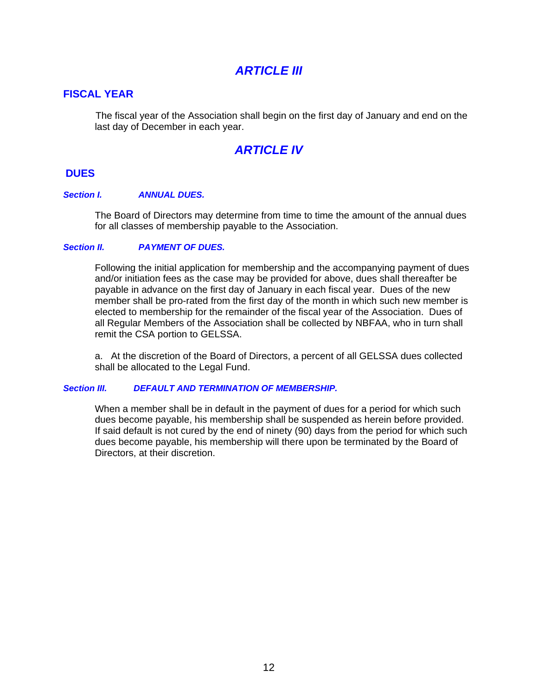# *ARTICLE III*

# **FISCAL YEAR**

The fiscal year of the Association shall begin on the first day of January and end on the last day of December in each year.

# *ARTICLE IV*

### **DUES**

#### *Section I. ANNUAL DUES.*

The Board of Directors may determine from time to time the amount of the annual dues for all classes of membership payable to the Association.

#### *Section II. PAYMENT OF DUES.*

Following the initial application for membership and the accompanying payment of dues and/or initiation fees as the case may be provided for above, dues shall thereafter be payable in advance on the first day of January in each fiscal year. Dues of the new member shall be pro-rated from the first day of the month in which such new member is elected to membership for the remainder of the fiscal year of the Association. Dues of all Regular Members of the Association shall be collected by NBFAA, who in turn shall remit the CSA portion to GELSSA.

a. At the discretion of the Board of Directors, a percent of all GELSSA dues collected shall be allocated to the Legal Fund.

#### *Section III. DEFAULT AND TERMINATION OF MEMBERSHIP.*

When a member shall be in default in the payment of dues for a period for which such dues become payable, his membership shall be suspended as herein before provided. If said default is not cured by the end of ninety (90) days from the period for which such dues become payable, his membership will there upon be terminated by the Board of Directors, at their discretion.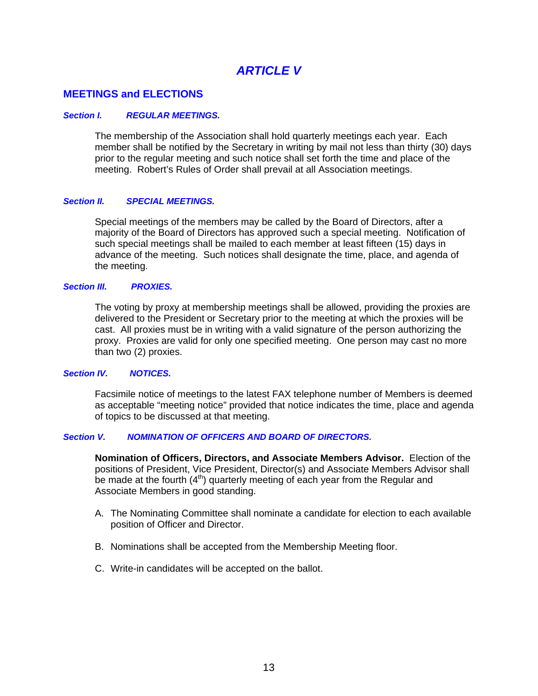# *ARTICLE V*

# **MEETINGS and ELECTIONS**

#### *Section I. REGULAR MEETINGS.*

The membership of the Association shall hold quarterly meetings each year. Each member shall be notified by the Secretary in writing by mail not less than thirty (30) days prior to the regular meeting and such notice shall set forth the time and place of the meeting. Robert's Rules of Order shall prevail at all Association meetings.

#### *Section II. SPECIAL MEETINGS.*

Special meetings of the members may be called by the Board of Directors, after a majority of the Board of Directors has approved such a special meeting. Notification of such special meetings shall be mailed to each member at least fifteen (15) days in advance of the meeting. Such notices shall designate the time, place, and agenda of the meeting.

#### *Section III. PROXIES.*

The voting by proxy at membership meetings shall be allowed, providing the proxies are delivered to the President or Secretary prior to the meeting at which the proxies will be cast. All proxies must be in writing with a valid signature of the person authorizing the proxy. Proxies are valid for only one specified meeting. One person may cast no more than two (2) proxies.

#### *Section IV. NOTICES.*

Facsimile notice of meetings to the latest FAX telephone number of Members is deemed as acceptable "meeting notice" provided that notice indicates the time, place and agenda of topics to be discussed at that meeting.

### *Section V. NOMINATION OF OFFICERS AND BOARD OF DIRECTORS.*

**Nomination of Officers, Directors, and Associate Members Advisor.** Election of the positions of President, Vice President, Director(s) and Associate Members Advisor shall be made at the fourth  $(4<sup>th</sup>)$  quarterly meeting of each year from the Regular and Associate Members in good standing.

- A. The Nominating Committee shall nominate a candidate for election to each available position of Officer and Director.
- B. Nominations shall be accepted from the Membership Meeting floor.
- C. Write-in candidates will be accepted on the ballot.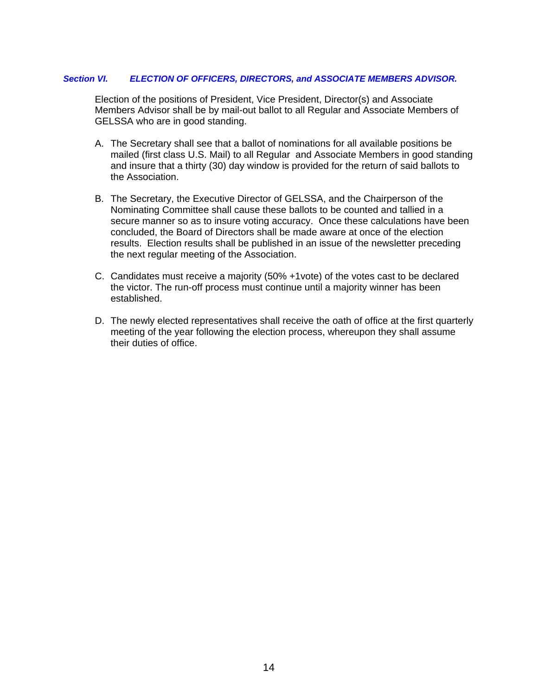#### *Section VI. ELECTION OF OFFICERS, DIRECTORS, and ASSOCIATE MEMBERS ADVISOR.*

Election of the positions of President, Vice President, Director(s) and Associate Members Advisor shall be by mail-out ballot to all Regular and Associate Members of GELSSA who are in good standing.

- A. The Secretary shall see that a ballot of nominations for all available positions be mailed (first class U.S. Mail) to all Regular and Associate Members in good standing and insure that a thirty (30) day window is provided for the return of said ballots to the Association.
- B. The Secretary, the Executive Director of GELSSA, and the Chairperson of the Nominating Committee shall cause these ballots to be counted and tallied in a secure manner so as to insure voting accuracy. Once these calculations have been concluded, the Board of Directors shall be made aware at once of the election results. Election results shall be published in an issue of the newsletter preceding the next regular meeting of the Association.
- C. Candidates must receive a majority (50% +1vote) of the votes cast to be declared the victor. The run-off process must continue until a majority winner has been established.
- D. The newly elected representatives shall receive the oath of office at the first quarterly meeting of the year following the election process, whereupon they shall assume their duties of office.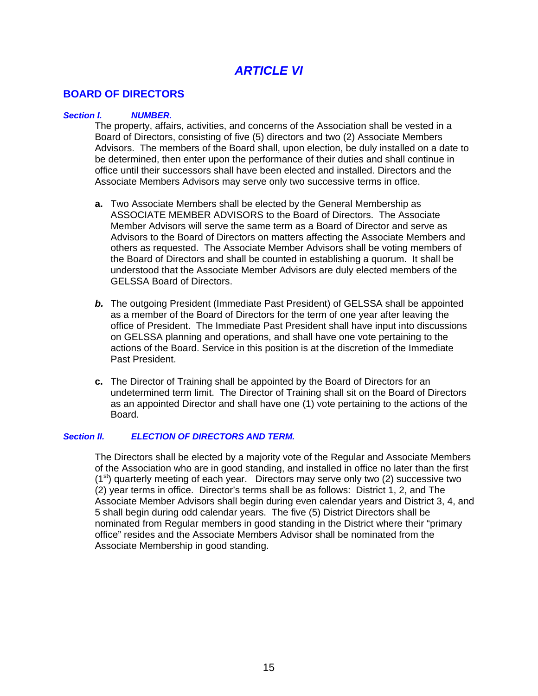# *ARTICLE VI*

# **BOARD OF DIRECTORS**

#### *Section I. NUMBER.*

The property, affairs, activities, and concerns of the Association shall be vested in a Board of Directors, consisting of five (5) directors and two (2) Associate Members Advisors. The members of the Board shall, upon election, be duly installed on a date to be determined, then enter upon the performance of their duties and shall continue in office until their successors shall have been elected and installed. Directors and the Associate Members Advisors may serve only two successive terms in office.

- **a.** Two Associate Members shall be elected by the General Membership as ASSOCIATE MEMBER ADVISORS to the Board of Directors. The Associate Member Advisors will serve the same term as a Board of Director and serve as Advisors to the Board of Directors on matters affecting the Associate Members and others as requested. The Associate Member Advisors shall be voting members of the Board of Directors and shall be counted in establishing a quorum. It shall be understood that the Associate Member Advisors are duly elected members of the GELSSA Board of Directors.
- *b.* The outgoing President (Immediate Past President) of GELSSA shall be appointed as a member of the Board of Directors for the term of one year after leaving the office of President. The Immediate Past President shall have input into discussions on GELSSA planning and operations, and shall have one vote pertaining to the actions of the Board. Service in this position is at the discretion of the Immediate Past President.
- **c.** The Director of Training shall be appointed by the Board of Directors for an undetermined term limit. The Director of Training shall sit on the Board of Directors as an appointed Director and shall have one (1) vote pertaining to the actions of the Board.

#### *Section II. ELECTION OF DIRECTORS AND TERM.*

The Directors shall be elected by a majority vote of the Regular and Associate Members of the Association who are in good standing, and installed in office no later than the first  $(1<sup>st</sup>)$  quarterly meeting of each year. Directors may serve only two  $(2)$  successive two (2) year terms in office. Director's terms shall be as follows: District 1, 2, and The Associate Member Advisors shall begin during even calendar years and District 3, 4, and 5 shall begin during odd calendar years. The five (5) District Directors shall be nominated from Regular members in good standing in the District where their "primary office" resides and the Associate Members Advisor shall be nominated from the Associate Membership in good standing.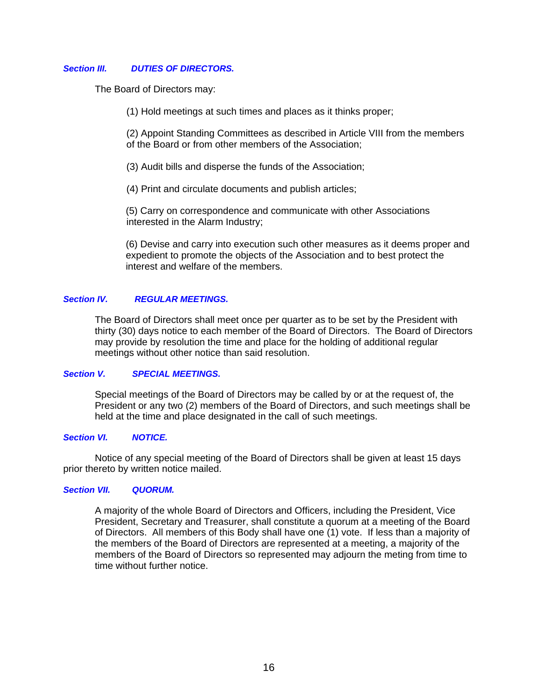#### *Section III. DUTIES OF DIRECTORS.*

The Board of Directors may:

(1) Hold meetings at such times and places as it thinks proper;

(2) Appoint Standing Committees as described in Article VIII from the members of the Board or from other members of the Association;

(3) Audit bills and disperse the funds of the Association;

(4) Print and circulate documents and publish articles;

(5) Carry on correspondence and communicate with other Associations interested in the Alarm Industry;

(6) Devise and carry into execution such other measures as it deems proper and expedient to promote the objects of the Association and to best protect the interest and welfare of the members.

#### *Section IV. REGULAR MEETINGS.*

The Board of Directors shall meet once per quarter as to be set by the President with thirty (30) days notice to each member of the Board of Directors. The Board of Directors may provide by resolution the time and place for the holding of additional regular meetings without other notice than said resolution.

#### *Section V. SPECIAL MEETINGS.*

Special meetings of the Board of Directors may be called by or at the request of, the President or any two (2) members of the Board of Directors, and such meetings shall be held at the time and place designated in the call of such meetings.

#### *Section VI. NOTICE.*

Notice of any special meeting of the Board of Directors shall be given at least 15 days prior thereto by written notice mailed.

#### *Section VII. QUORUM.*

A majority of the whole Board of Directors and Officers, including the President, Vice President, Secretary and Treasurer, shall constitute a quorum at a meeting of the Board of Directors. All members of this Body shall have one (1) vote. If less than a majority of the members of the Board of Directors are represented at a meeting, a majority of the members of the Board of Directors so represented may adjourn the meting from time to time without further notice.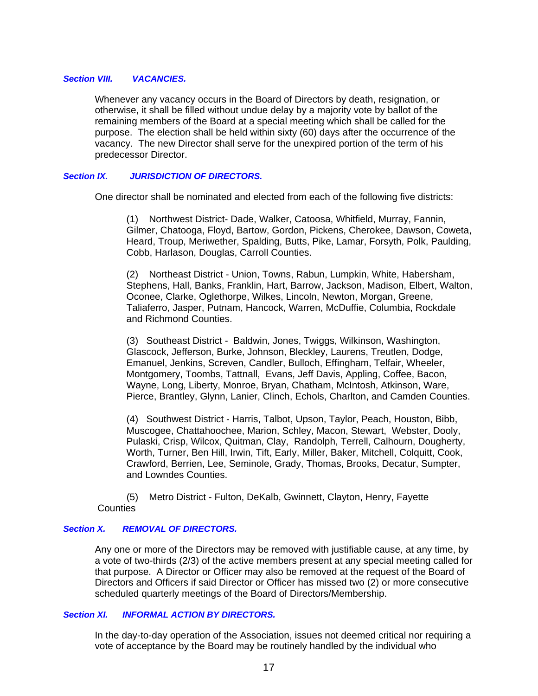#### *Section VIII. VACANCIES.*

Whenever any vacancy occurs in the Board of Directors by death, resignation, or otherwise, it shall be filled without undue delay by a majority vote by ballot of the remaining members of the Board at a special meeting which shall be called for the purpose. The election shall be held within sixty (60) days after the occurrence of the vacancy. The new Director shall serve for the unexpired portion of the term of his predecessor Director.

#### *Section IX. JURISDICTION OF DIRECTORS.*

One director shall be nominated and elected from each of the following five districts:

(1) Northwest District- Dade, Walker, Catoosa, Whitfield, Murray, Fannin, Gilmer, Chatooga, Floyd, Bartow, Gordon, Pickens, Cherokee, Dawson, Coweta, Heard, Troup, Meriwether, Spalding, Butts, Pike, Lamar, Forsyth, Polk, Paulding, Cobb, Harlason, Douglas, Carroll Counties.

(2) Northeast District - Union, Towns, Rabun, Lumpkin, White, Habersham, Stephens, Hall, Banks, Franklin, Hart, Barrow, Jackson, Madison, Elbert, Walton, Oconee, Clarke, Oglethorpe, Wilkes, Lincoln, Newton, Morgan, Greene, Taliaferro, Jasper, Putnam, Hancock, Warren, McDuffie, Columbia, Rockdale and Richmond Counties.

(3) Southeast District - Baldwin, Jones, Twiggs, Wilkinson, Washington, Glascock, Jefferson, Burke, Johnson, Bleckley, Laurens, Treutlen, Dodge, Emanuel, Jenkins, Screven, Candler, Bulloch, Effingham, Telfair, Wheeler, Montgomery, Toombs, Tattnall, Evans, Jeff Davis, Appling, Coffee, Bacon, Wayne, Long, Liberty, Monroe, Bryan, Chatham, McIntosh, Atkinson, Ware, Pierce, Brantley, Glynn, Lanier, Clinch, Echols, Charlton, and Camden Counties.

(4) Southwest District - Harris, Talbot, Upson, Taylor, Peach, Houston, Bibb, Muscogee, Chattahoochee, Marion, Schley, Macon, Stewart, Webster, Dooly, Pulaski, Crisp, Wilcox, Quitman, Clay, Randolph, Terrell, Calhourn, Dougherty, Worth, Turner, Ben Hill, Irwin, Tift, Early, Miller, Baker, Mitchell, Colquitt, Cook, Crawford, Berrien, Lee, Seminole, Grady, Thomas, Brooks, Decatur, Sumpter, and Lowndes Counties.

 (5) Metro District - Fulton, DeKalb, Gwinnett, Clayton, Henry, Fayette **Counties** 

#### *Section X. REMOVAL OF DIRECTORS.*

Any one or more of the Directors may be removed with justifiable cause, at any time, by a vote of two-thirds (2/3) of the active members present at any special meeting called for that purpose. A Director or Officer may also be removed at the request of the Board of Directors and Officers if said Director or Officer has missed two (2) or more consecutive scheduled quarterly meetings of the Board of Directors/Membership.

#### *Section XI. INFORMAL ACTION BY DIRECTORS.*

In the day-to-day operation of the Association, issues not deemed critical nor requiring a vote of acceptance by the Board may be routinely handled by the individual who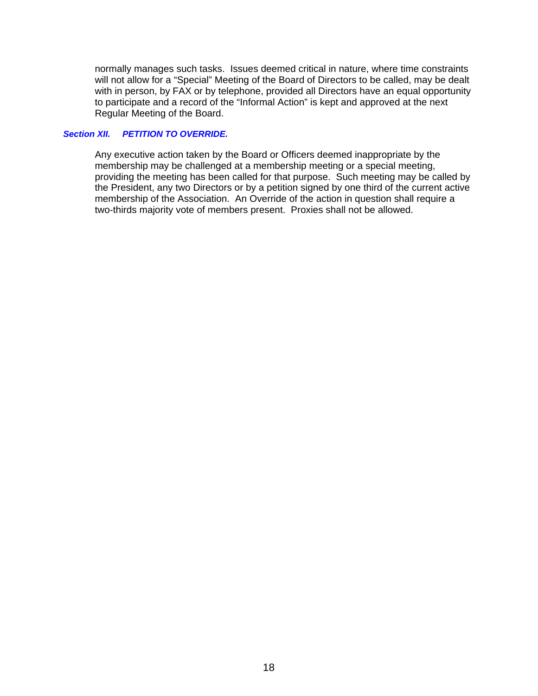normally manages such tasks. Issues deemed critical in nature, where time constraints will not allow for a "Special" Meeting of the Board of Directors to be called, may be dealt with in person, by FAX or by telephone, provided all Directors have an equal opportunity to participate and a record of the "Informal Action" is kept and approved at the next Regular Meeting of the Board.

#### *Section XII. PETITION TO OVERRIDE.*

Any executive action taken by the Board or Officers deemed inappropriate by the membership may be challenged at a membership meeting or a special meeting, providing the meeting has been called for that purpose. Such meeting may be called by the President, any two Directors or by a petition signed by one third of the current active membership of the Association. An Override of the action in question shall require a two-thirds majority vote of members present. Proxies shall not be allowed.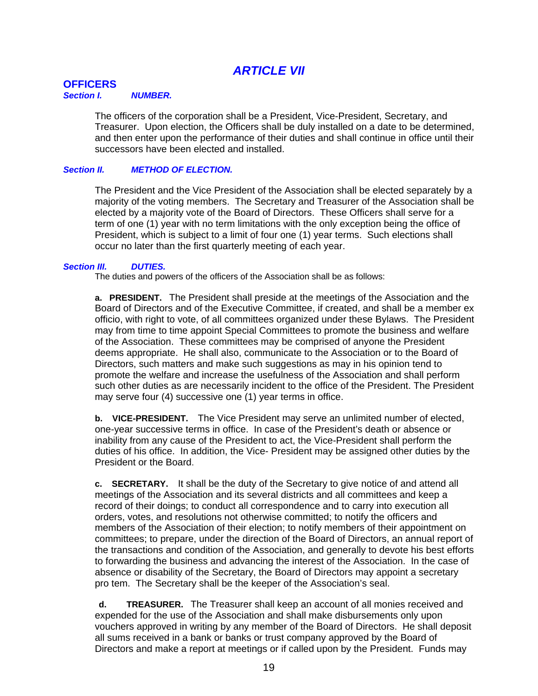# *ARTICLE VII*

# **OFFICERS**

#### *Section I. NUMBER.*

The officers of the corporation shall be a President, Vice-President, Secretary, and Treasurer. Upon election, the Officers shall be duly installed on a date to be determined, and then enter upon the performance of their duties and shall continue in office until their successors have been elected and installed.

#### *Section II. METHOD OF ELECTION.*

The President and the Vice President of the Association shall be elected separately by a majority of the voting members. The Secretary and Treasurer of the Association shall be elected by a majority vote of the Board of Directors. These Officers shall serve for a term of one (1) year with no term limitations with the only exception being the office of President, which is subject to a limit of four one (1) year terms. Such elections shall occur no later than the first quarterly meeting of each year.

#### *Section III. DUTIES.*

The duties and powers of the officers of the Association shall be as follows:

**a. PRESIDENT.** The President shall preside at the meetings of the Association and the Board of Directors and of the Executive Committee, if created, and shall be a member ex officio, with right to vote, of all committees organized under these Bylaws. The President may from time to time appoint Special Committees to promote the business and welfare of the Association. These committees may be comprised of anyone the President deems appropriate. He shall also, communicate to the Association or to the Board of Directors, such matters and make such suggestions as may in his opinion tend to promote the welfare and increase the usefulness of the Association and shall perform such other duties as are necessarily incident to the office of the President. The President may serve four (4) successive one (1) year terms in office.

**b. VICE-PRESIDENT.** The Vice President may serve an unlimited number of elected, one-year successive terms in office. In case of the President's death or absence or inability from any cause of the President to act, the Vice-President shall perform the duties of his office. In addition, the Vice- President may be assigned other duties by the President or the Board.

**c. SECRETARY.** It shall be the duty of the Secretary to give notice of and attend all meetings of the Association and its several districts and all committees and keep a record of their doings; to conduct all correspondence and to carry into execution all orders, votes, and resolutions not otherwise committed; to notify the officers and members of the Association of their election; to notify members of their appointment on committees; to prepare, under the direction of the Board of Directors, an annual report of the transactions and condition of the Association, and generally to devote his best efforts to forwarding the business and advancing the interest of the Association. In the case of absence or disability of the Secretary, the Board of Directors may appoint a secretary pro tem. The Secretary shall be the keeper of the Association's seal.

**d. TREASURER.** The Treasurer shall keep an account of all monies received and expended for the use of the Association and shall make disbursements only upon vouchers approved in writing by any member of the Board of Directors. He shall deposit all sums received in a bank or banks or trust company approved by the Board of Directors and make a report at meetings or if called upon by the President. Funds may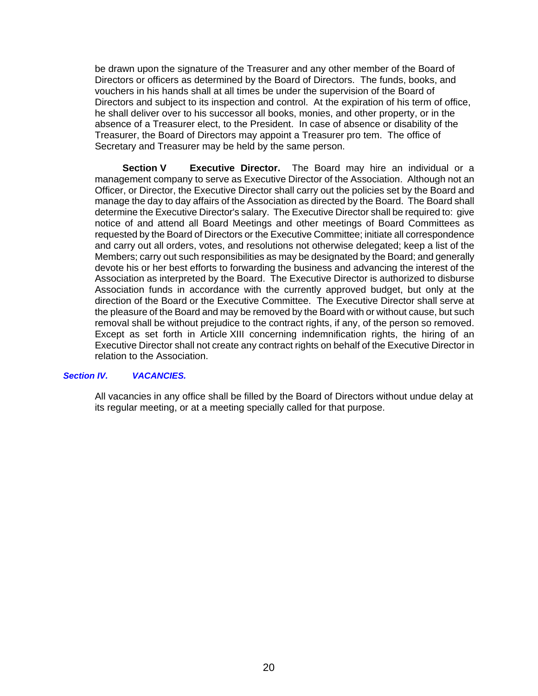be drawn upon the signature of the Treasurer and any other member of the Board of Directors or officers as determined by the Board of Directors. The funds, books, and vouchers in his hands shall at all times be under the supervision of the Board of Directors and subject to its inspection and control. At the expiration of his term of office, he shall deliver over to his successor all books, monies, and other property, or in the absence of a Treasurer elect, to the President. In case of absence or disability of the Treasurer, the Board of Directors may appoint a Treasurer pro tem. The office of Secretary and Treasurer may be held by the same person.

**Section V** Executive Director. The Board may hire an individual or a management company to serve as Executive Director of the Association. Although not an Officer, or Director, the Executive Director shall carry out the policies set by the Board and manage the day to day affairs of the Association as directed by the Board. The Board shall determine the Executive Director's salary. The Executive Director shall be required to: give notice of and attend all Board Meetings and other meetings of Board Committees as requested by the Board of Directors or the Executive Committee; initiate all correspondence and carry out all orders, votes, and resolutions not otherwise delegated; keep a list of the Members; carry out such responsibilities as may be designated by the Board; and generally devote his or her best efforts to forwarding the business and advancing the interest of the Association as interpreted by the Board. The Executive Director is authorized to disburse Association funds in accordance with the currently approved budget, but only at the direction of the Board or the Executive Committee. The Executive Director shall serve at the pleasure of the Board and may be removed by the Board with or without cause, but such removal shall be without prejudice to the contract rights, if any, of the person so removed. Except as set forth in Article XIII concerning indemnification rights, the hiring of an Executive Director shall not create any contract rights on behalf of the Executive Director in relation to the Association.

#### *Section IV. VACANCIES.*

All vacancies in any office shall be filled by the Board of Directors without undue delay at its regular meeting, or at a meeting specially called for that purpose.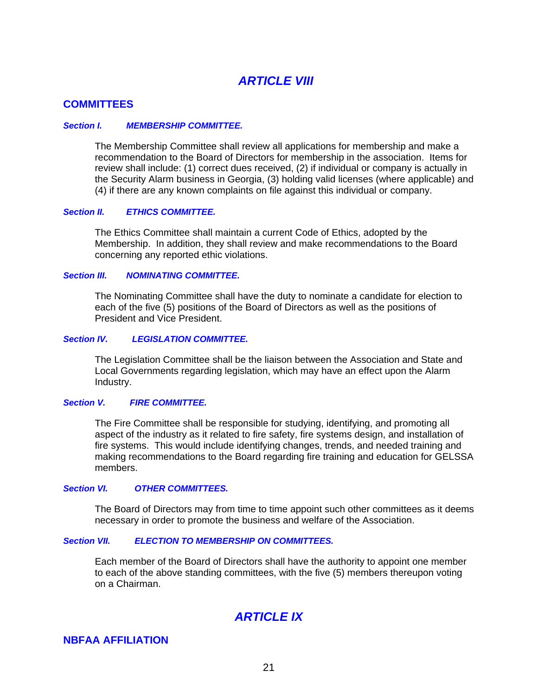# *ARTICLE VIII*

### **COMMITTEES**

#### *Section I. MEMBERSHIP COMMITTEE.*

The Membership Committee shall review all applications for membership and make a recommendation to the Board of Directors for membership in the association. Items for review shall include: (1) correct dues received, (2) if individual or company is actually in the Security Alarm business in Georgia, (3) holding valid licenses (where applicable) and (4) if there are any known complaints on file against this individual or company.

#### *Section II. ETHICS COMMITTEE.*

The Ethics Committee shall maintain a current Code of Ethics, adopted by the Membership. In addition, they shall review and make recommendations to the Board concerning any reported ethic violations.

#### *Section III. NOMINATING COMMITTEE.*

The Nominating Committee shall have the duty to nominate a candidate for election to each of the five (5) positions of the Board of Directors as well as the positions of President and Vice President.

#### *Section IV. LEGISLATION COMMITTEE.*

The Legislation Committee shall be the liaison between the Association and State and Local Governments regarding legislation, which may have an effect upon the Alarm Industry.

#### *Section V. FIRE COMMITTEE.*

The Fire Committee shall be responsible for studying, identifying, and promoting all aspect of the industry as it related to fire safety, fire systems design, and installation of fire systems. This would include identifying changes, trends, and needed training and making recommendations to the Board regarding fire training and education for GELSSA members.

#### *Section VI. OTHER COMMITTEES.*

The Board of Directors may from time to time appoint such other committees as it deems necessary in order to promote the business and welfare of the Association.

#### *Section VII. ELECTION TO MEMBERSHIP ON COMMITTEES.*

Each member of the Board of Directors shall have the authority to appoint one member to each of the above standing committees, with the five (5) members thereupon voting on a Chairman.

# *ARTICLE IX*

### **NBFAA AFFILIATION**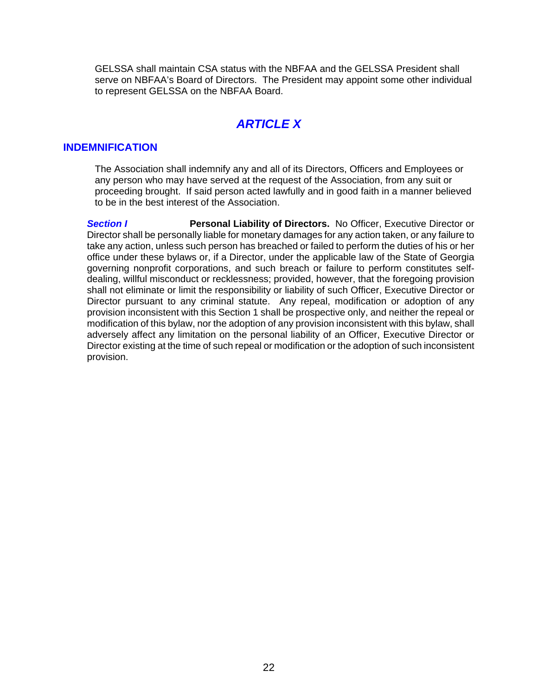GELSSA shall maintain CSA status with the NBFAA and the GELSSA President shall serve on NBFAA's Board of Directors. The President may appoint some other individual to represent GELSSA on the NBFAA Board.

# *ARTICLE X*

# **INDEMNIFICATION**

The Association shall indemnify any and all of its Directors, Officers and Employees or any person who may have served at the request of the Association, from any suit or proceeding brought. If said person acted lawfully and in good faith in a manner believed to be in the best interest of the Association.

**Section I Personal Liability of Directors.** No Officer, Executive Director or Director shall be personally liable for monetary damages for any action taken, or any failure to take any action, unless such person has breached or failed to perform the duties of his or her office under these bylaws or, if a Director, under the applicable law of the State of Georgia governing nonprofit corporations, and such breach or failure to perform constitutes selfdealing, willful misconduct or recklessness; provided, however, that the foregoing provision shall not eliminate or limit the responsibility or liability of such Officer, Executive Director or Director pursuant to any criminal statute. Any repeal, modification or adoption of any provision inconsistent with this Section 1 shall be prospective only, and neither the repeal or modification of this bylaw, nor the adoption of any provision inconsistent with this bylaw, shall adversely affect any limitation on the personal liability of an Officer, Executive Director or Director existing at the time of such repeal or modification or the adoption of such inconsistent provision.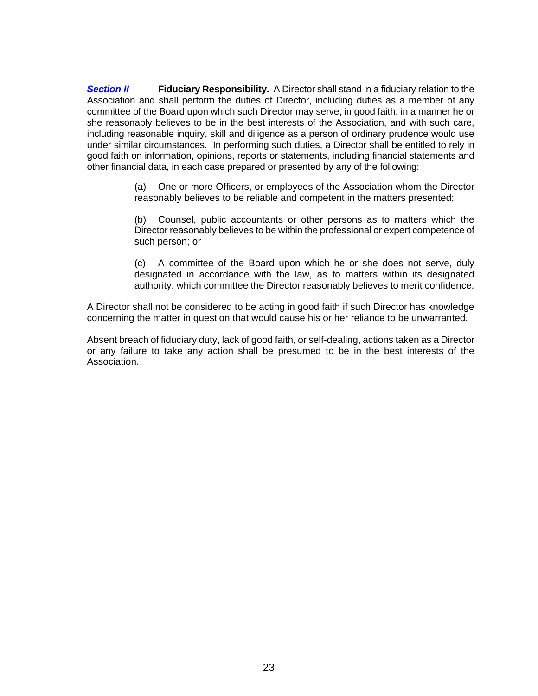**Section II** Fiduciary Responsibility. A Director shall stand in a fiduciary relation to the Association and shall perform the duties of Director, including duties as a member of any committee of the Board upon which such Director may serve, in good faith, in a manner he or she reasonably believes to be in the best interests of the Association, and with such care, including reasonable inquiry, skill and diligence as a person of ordinary prudence would use under similar circumstances. In performing such duties, a Director shall be entitled to rely in good faith on information, opinions, reports or statements, including financial statements and other financial data, in each case prepared or presented by any of the following:

> (a) One or more Officers, or employees of the Association whom the Director reasonably believes to be reliable and competent in the matters presented;

> (b) Counsel, public accountants or other persons as to matters which the Director reasonably believes to be within the professional or expert competence of such person; or

> (c) A committee of the Board upon which he or she does not serve, duly designated in accordance with the law, as to matters within its designated authority, which committee the Director reasonably believes to merit confidence.

A Director shall not be considered to be acting in good faith if such Director has knowledge concerning the matter in question that would cause his or her reliance to be unwarranted.

Absent breach of fiduciary duty, lack of good faith, or self-dealing, actions taken as a Director or any failure to take any action shall be presumed to be in the best interests of the Association.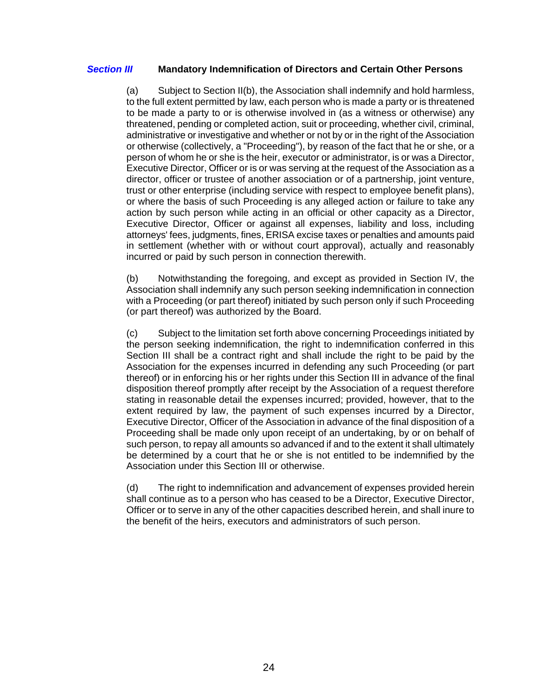### *Section III* **Mandatory Indemnification of Directors and Certain Other Persons**

(a) Subject to Section II(b), the Association shall indemnify and hold harmless, to the full extent permitted by law, each person who is made a party or is threatened to be made a party to or is otherwise involved in (as a witness or otherwise) any threatened, pending or completed action, suit or proceeding, whether civil, criminal, administrative or investigative and whether or not by or in the right of the Association or otherwise (collectively, a "Proceeding"), by reason of the fact that he or she, or a person of whom he or she is the heir, executor or administrator, is or was a Director, Executive Director, Officer or is or was serving at the request of the Association as a director, officer or trustee of another association or of a partnership, joint venture, trust or other enterprise (including service with respect to employee benefit plans), or where the basis of such Proceeding is any alleged action or failure to take any action by such person while acting in an official or other capacity as a Director, Executive Director, Officer or against all expenses, liability and loss, including attorneys' fees, judgments, fines, ERISA excise taxes or penalties and amounts paid in settlement (whether with or without court approval), actually and reasonably incurred or paid by such person in connection therewith.

(b) Notwithstanding the foregoing, and except as provided in Section IV, the Association shall indemnify any such person seeking indemnification in connection with a Proceeding (or part thereof) initiated by such person only if such Proceeding (or part thereof) was authorized by the Board.

(c) Subject to the limitation set forth above concerning Proceedings initiated by the person seeking indemnification, the right to indemnification conferred in this Section III shall be a contract right and shall include the right to be paid by the Association for the expenses incurred in defending any such Proceeding (or part thereof) or in enforcing his or her rights under this Section III in advance of the final disposition thereof promptly after receipt by the Association of a request therefore stating in reasonable detail the expenses incurred; provided, however, that to the extent required by law, the payment of such expenses incurred by a Director, Executive Director, Officer of the Association in advance of the final disposition of a Proceeding shall be made only upon receipt of an undertaking, by or on behalf of such person, to repay all amounts so advanced if and to the extent it shall ultimately be determined by a court that he or she is not entitled to be indemnified by the Association under this Section III or otherwise.

(d) The right to indemnification and advancement of expenses provided herein shall continue as to a person who has ceased to be a Director, Executive Director, Officer or to serve in any of the other capacities described herein, and shall inure to the benefit of the heirs, executors and administrators of such person.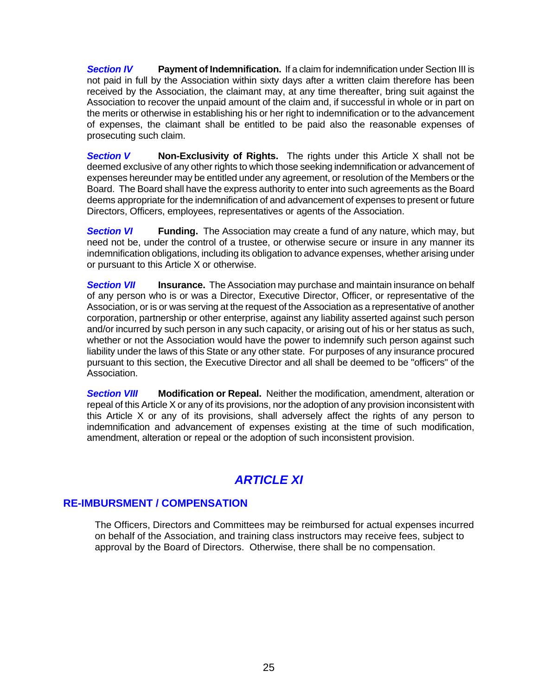**Section IV** Payment of Indemnification. If a claim for indemnification under Section III is not paid in full by the Association within sixty days after a written claim therefore has been received by the Association, the claimant may, at any time thereafter, bring suit against the Association to recover the unpaid amount of the claim and, if successful in whole or in part on the merits or otherwise in establishing his or her right to indemnification or to the advancement of expenses, the claimant shall be entitled to be paid also the reasonable expenses of prosecuting such claim.

**Section V Non-Exclusivity of Rights.** The rights under this Article X shall not be deemed exclusive of any other rights to which those seeking indemnification or advancement of expenses hereunder may be entitled under any agreement, or resolution of the Members or the Board. The Board shall have the express authority to enter into such agreements as the Board deems appropriate for the indemnification of and advancement of expenses to present or future Directors, Officers, employees, representatives or agents of the Association.

**Section VI** Funding. The Association may create a fund of any nature, which may, but need not be, under the control of a trustee, or otherwise secure or insure in any manner its indemnification obligations, including its obligation to advance expenses, whether arising under or pursuant to this Article X or otherwise.

**Section VII** Insurance. The Association may purchase and maintain insurance on behalf of any person who is or was a Director, Executive Director, Officer, or representative of the Association, or is or was serving at the request of the Association as a representative of another corporation, partnership or other enterprise, against any liability asserted against such person and/or incurred by such person in any such capacity, or arising out of his or her status as such, whether or not the Association would have the power to indemnify such person against such liability under the laws of this State or any other state. For purposes of any insurance procured pursuant to this section, the Executive Director and all shall be deemed to be "officers" of the Association.

*Section VIII* **Modification or Repeal.** Neither the modification, amendment, alteration or repeal of this Article X or any of its provisions, nor the adoption of any provision inconsistent with this Article X or any of its provisions, shall adversely affect the rights of any person to indemnification and advancement of expenses existing at the time of such modification, amendment, alteration or repeal or the adoption of such inconsistent provision.

# *ARTICLE XI*

# **RE-IMBURSMENT / COMPENSATION**

The Officers, Directors and Committees may be reimbursed for actual expenses incurred on behalf of the Association, and training class instructors may receive fees, subject to approval by the Board of Directors. Otherwise, there shall be no compensation.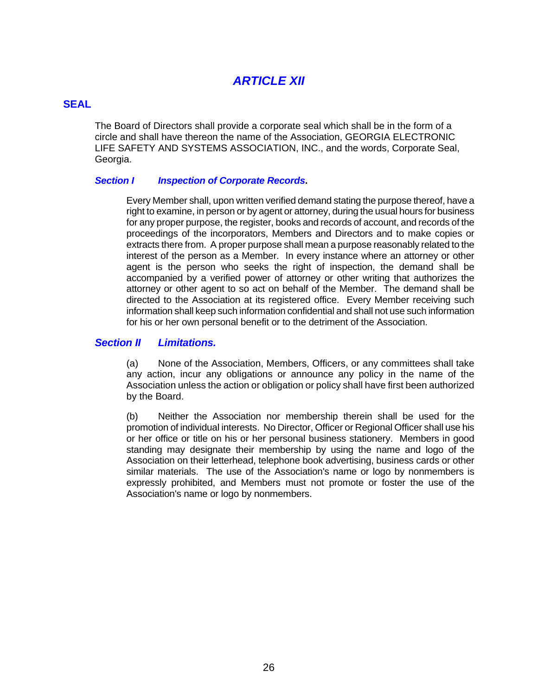# *ARTICLE XII*

## **SEAL**

The Board of Directors shall provide a corporate seal which shall be in the form of a circle and shall have thereon the name of the Association, GEORGIA ELECTRONIC LIFE SAFETY AND SYSTEMS ASSOCIATION, INC., and the words, Corporate Seal, Georgia.

### *Section I Inspection of Corporate Records***.**

Every Member shall, upon written verified demand stating the purpose thereof, have a right to examine, in person or by agent or attorney, during the usual hours for business for any proper purpose, the register, books and records of account, and records of the proceedings of the incorporators, Members and Directors and to make copies or extracts there from. A proper purpose shall mean a purpose reasonably related to the interest of the person as a Member. In every instance where an attorney or other agent is the person who seeks the right of inspection, the demand shall be accompanied by a verified power of attorney or other writing that authorizes the attorney or other agent to so act on behalf of the Member. The demand shall be directed to the Association at its registered office. Every Member receiving such information shall keep such information confidential and shall not use such information for his or her own personal benefit or to the detriment of the Association.

## *Section II Limitations.*

 (a) None of the Association, Members, Officers, or any committees shall take any action, incur any obligations or announce any policy in the name of the Association unless the action or obligation or policy shall have first been authorized by the Board.

 (b) Neither the Association nor membership therein shall be used for the promotion of individual interests. No Director, Officer or Regional Officer shall use his or her office or title on his or her personal business stationery. Members in good standing may designate their membership by using the name and logo of the Association on their letterhead, telephone book advertising, business cards or other similar materials. The use of the Association's name or logo by nonmembers is expressly prohibited, and Members must not promote or foster the use of the Association's name or logo by nonmembers.